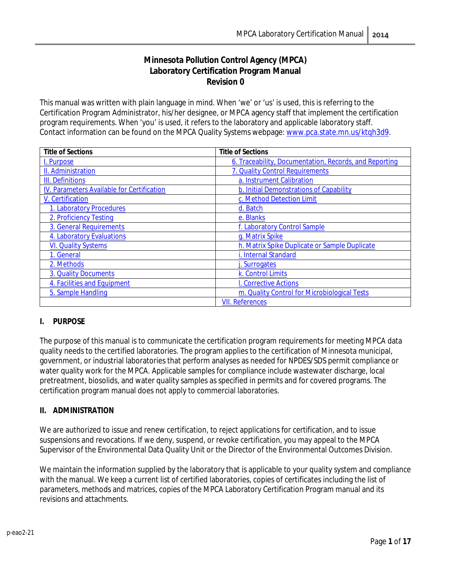# **Minnesota Pollution Control Agency (MPCA) Laboratory Certification Program Manual Revision 0**

This manual was written with plain language in mind. When 'we' or 'us' is used, this is referring to the Certification Program Administrator, his/her designee, or MPCA agency staff that implement the certification program requirements. When 'you' is used, it refers to the laboratory and applicable laboratory staff. Contact information can be found on the MPCA Quality Systems webpage: [www.pca.state.mn.us/ktqh3d9.](http://www.pca.state.mn.us/ktqh3d9)

| <b>Title of Sections</b>                   | <b>Title of Sections</b>                               |
|--------------------------------------------|--------------------------------------------------------|
| I. Purpose                                 | 6. Traceability, Documentation, Records, and Reporting |
| II. Administration                         | 7. Quality Control Requirements                        |
| <b>III.</b> Definitions                    | a. Instrument Calibration                              |
| IV. Parameters Available for Certification | b. Initial Demonstrations of Capability                |
| V. Certification                           | c. Method Detection Limit                              |
| 1. Laboratory Procedures                   | d. Batch                                               |
| 2. Proficiency Testing                     | e. Blanks                                              |
| 3. General Requirements                    | f. Laboratory Control Sample                           |
| 4. Laboratory Evaluations                  | g. Matrix Spike                                        |
| <b>VI. Quality Systems</b>                 | h. Matrix Spike Duplicate or Sample Duplicate          |
| 1. General                                 | i. Internal Standard                                   |
| 2. Methods                                 | Surrogates                                             |
| 3. Quality Documents                       | k. Control Limits                                      |
| 4. Facilities and Equipment                | I. Corrective Actions                                  |
| 5. Sample Handling                         | m. Quality Control for Microbiological Tests           |
|                                            | <b>VII. References</b>                                 |

## <span id="page-0-0"></span>**I. PURPOSE**

The purpose of this manual is to communicate the certification program requirements for meeting MPCA data quality needs to the certified laboratories. The program applies to the certification of Minnesota municipal, government, or industrial laboratories that perform analyses as needed for NPDES/SDS permit compliance or water quality work for the MPCA. Applicable samples for compliance include wastewater discharge, local pretreatment, biosolids, and water quality samples as specified in permits and for covered programs. The certification program manual does not apply to commercial laboratories.

## <span id="page-0-1"></span>**II. ADMINISTRATION**

We are authorized to issue and renew certification, to reject applications for certification, and to issue suspensions and revocations. If we deny, suspend, or revoke certification, you may appeal to the MPCA Supervisor of the Environmental Data Quality Unit or the Director of the Environmental Outcomes Division.

We maintain the information supplied by the laboratory that is applicable to your quality system and compliance with the manual. We keep a current list of certified laboratories, copies of certificates including the list of parameters, methods and matrices, copies of the MPCA Laboratory Certification Program manual and its revisions and attachments.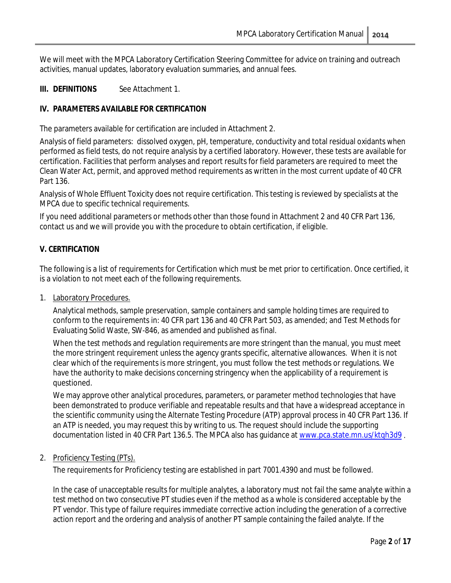We will meet with the MPCA Laboratory Certification Steering Committee for advice on training and outreach activities, manual updates, laboratory evaluation summaries, and annual fees.

### <span id="page-1-0"></span>**III. DEFINITIONS** See Attachment 1.

#### <span id="page-1-1"></span>**IV. PARAMETERS AVAILABLE FOR CERTIFICATION**

The parameters available for certification are included in Attachment 2.

Analysis of field parameters: dissolved oxygen, pH, temperature, conductivity and total residual oxidants when performed as field tests, do not require analysis by a certified laboratory. However, these tests are available for certification. Facilities that perform analyses and report results for field parameters are required to meet the Clean Water Act, permit, and approved method requirements as written in the most current update of 40 CFR Part 136.

Analysis of Whole Effluent Toxicity does not require certification. This testing is reviewed by specialists at the MPCA due to specific technical requirements.

If you need additional parameters or methods other than those found in Attachment 2 and 40 CFR Part 136, contact us and we will provide you with the procedure to obtain certification, if eligible.

#### <span id="page-1-2"></span>**V. CERTIFICATION**

The following is a list of requirements for Certification which must be met prior to certification. Once certified, it is a violation to not meet each of the following requirements.

<span id="page-1-3"></span>1. Laboratory Procedures.

Analytical methods, sample preservation, sample containers and sample holding times are required to conform to the requirements in: 40 CFR part 136 and 40 CFR Part 503, as amended; and Test Methods for Evaluating Solid Waste, SW-846, as amended and published as final.

When the test methods and regulation requirements are more stringent than the manual, you must meet the more stringent requirement unless the agency grants specific, alternative allowances. When it is not clear which of the requirements is more stringent, you must follow the test methods or regulations. We have the authority to make decisions concerning stringency when the applicability of a requirement is questioned.

We may approve other analytical procedures, parameters, or parameter method technologies that have been demonstrated to produce verifiable and repeatable results and that have a widespread acceptance in the scientific community using the Alternate Testing Procedure (ATP) approval process in 40 CFR Part 136. If an ATP is needed, you may request this by writing to us. The request should include the supporting documentation listed in 40 CFR Part 136.5. The MPCA also has guidance a[t www.pca.state.mn.us/ktqh3d9](http://www.pca.state.mn.us/ktqh3d9) .

#### <span id="page-1-4"></span>2. Proficiency Testing (PTs).

The requirements for Proficiency testing are established in part 7001.4390 and must be followed.

In the case of unacceptable results for multiple analytes, a laboratory must not fail the same analyte within a test method on two consecutive PT studies even if the method as a whole is considered acceptable by the PT vendor. This type of failure requires immediate corrective action including the generation of a corrective action report and the ordering and analysis of another PT sample containing the failed analyte. If the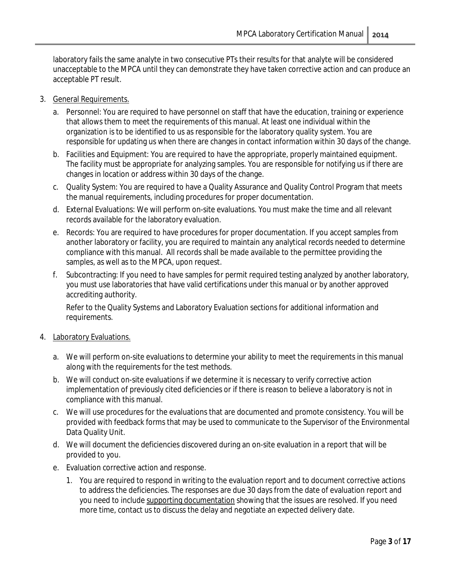laboratory fails the same analyte in two consecutive PTs their results for that analyte will be considered unacceptable to the MPCA until they can demonstrate they have taken corrective action and can produce an acceptable PT result.

- <span id="page-2-0"></span>3. General Requirements.
	- a. Personnel: You are required to have personnel on staff that have the education, training or experience that allows them to meet the requirements of this manual. At least one individual within the organization is to be identified to us as responsible for the laboratory quality system. You are responsible for updating us when there are changes in contact information within 30 days of the change.
	- b. Facilities and Equipment: You are required to have the appropriate, properly maintained equipment. The facility must be appropriate for analyzing samples. You are responsible for notifying us if there are changes in location or address within 30 days of the change.
	- c. Quality System: You are required to have a Quality Assurance and Quality Control Program that meets the manual requirements, including procedures for proper documentation.
	- d. External Evaluations: We will perform on-site evaluations. You must make the time and all relevant records available for the laboratory evaluation.
	- e. Records: You are required to have procedures for proper documentation. If you accept samples from another laboratory or facility, you are required to maintain any analytical records needed to determine compliance with this manual. All records shall be made available to the permittee providing the samples, as well as to the MPCA, upon request.
	- f. Subcontracting: If you need to have samples for permit required testing analyzed by another laboratory, you must use laboratories that have valid certifications under this manual or by another approved accrediting authority.

Refer to the Quality Systems and Laboratory Evaluation sections for additional information and requirements.

- <span id="page-2-1"></span>4. Laboratory Evaluations.
	- a. We will perform on-site evaluations to determine your ability to meet the requirements in this manual along with the requirements for the test methods.
	- b. We will conduct on-site evaluations if we determine it is necessary to verify corrective action implementation of previously cited deficiencies or if there is reason to believe a laboratory is not in compliance with this manual.
	- c. We will use procedures for the evaluations that are documented and promote consistency. You will be provided with feedback forms that may be used to communicate to the Supervisor of the Environmental Data Quality Unit.
	- d. We will document the deficiencies discovered during an on-site evaluation in a report that will be provided to you.
	- e. Evaluation corrective action and response.
		- 1. You are required to respond in writing to the evaluation report and to document corrective actions to address the deficiencies. The responses are due 30 days from the date of evaluation report and you need to include supporting documentation showing that the issues are resolved. If you need more time, contact us to discuss the delay and negotiate an expected delivery date.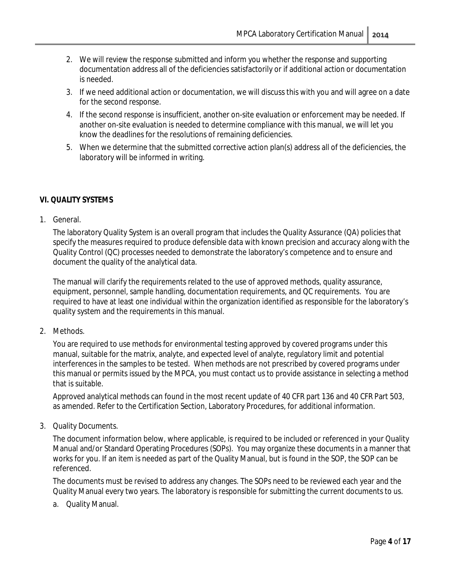- 2. We will review the response submitted and inform you whether the response and supporting documentation address all of the deficiencies satisfactorily or if additional action or documentation is needed.
- 3. If we need additional action or documentation, we will discuss this with you and will agree on a date for the second response.
- 4. If the second response is insufficient, another on-site evaluation or enforcement may be needed. If another on-site evaluation is needed to determine compliance with this manual, we will let you know the deadlines for the resolutions of remaining deficiencies.
- 5. When we determine that the submitted corrective action plan(s) address all of the deficiencies, the laboratory will be informed in writing.

## <span id="page-3-0"></span>**VI. QUALITY SYSTEMS**

<span id="page-3-1"></span>1. General.

The laboratory Quality System is an overall program that includes the Quality Assurance (QA) policies that specify the measures required to produce defensible data with known precision and accuracy along with the Quality Control (QC) processes needed to demonstrate the laboratory's competence and to ensure and document the quality of the analytical data.

The manual will clarify the requirements related to the use of approved methods, quality assurance, equipment, personnel, sample handling, documentation requirements, and QC requirements. You are required to have at least one individual within the organization identified as responsible for the laboratory's quality system and the requirements in this manual.

<span id="page-3-2"></span>2. Methods.

You are required to use methods for environmental testing approved by covered programs under this manual, suitable for the matrix, analyte, and expected level of analyte, regulatory limit and potential interferences in the samples to be tested. When methods are not prescribed by covered programs under this manual or permits issued by the MPCA, you must contact us to provide assistance in selecting a method that is suitable.

Approved analytical methods can found in the most recent update of 40 CFR part 136 and 40 CFR Part 503, as amended. Refer to the Certification Section, Laboratory Procedures, for additional information.

<span id="page-3-3"></span>3. Quality Documents.

The document information below, where applicable, is required to be included or referenced in your Quality Manual and/or Standard Operating Procedures (SOPs). You may organize these documents in a manner that works for you. If an item is needed as part of the Quality Manual, but is found in the SOP, the SOP can be referenced.

The documents must be revised to address any changes. The SOPs need to be reviewed each year and the Quality Manual every two years. The laboratory is responsible for submitting the current documents to us.

a. Quality Manual.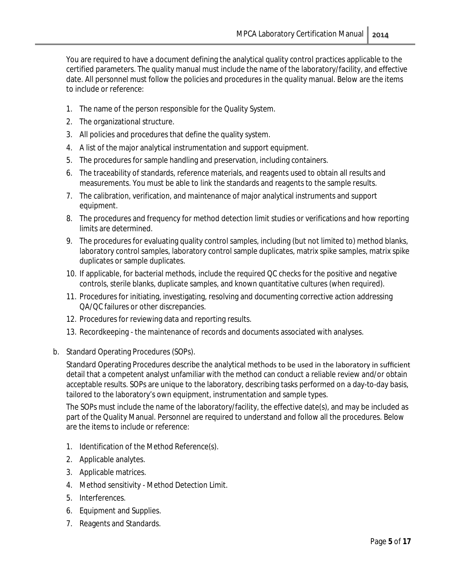You are required to have a document defining the analytical quality control practices applicable to the certified parameters. The quality manual must include the name of the laboratory/facility, and effective date. All personnel must follow the policies and procedures in the quality manual. Below are the items to include or reference:

- 1. The name of the person responsible for the Quality System.
- 2. The organizational structure.
- 3. All policies and procedures that define the quality system.
- 4. A list of the major analytical instrumentation and support equipment.
- 5. The procedures for sample handling and preservation, including containers.
- 6. The traceability of standards, reference materials, and reagents used to obtain all results and measurements. You must be able to link the standards and reagents to the sample results.
- 7. The calibration, verification, and maintenance of major analytical instruments and support equipment.
- 8. The procedures and frequency for method detection limit studies or verifications and how reporting limits are determined.
- 9. The procedures for evaluating quality control samples, including (but not limited to) method blanks, laboratory control samples, laboratory control sample duplicates, matrix spike samples, matrix spike duplicates or sample duplicates.
- 10. If applicable, for bacterial methods, include the required QC checks for the positive and negative controls, sterile blanks, duplicate samples, and known quantitative cultures (when required).
- 11. Procedures for initiating, investigating, resolving and documenting corrective action addressing QA/QC failures or other discrepancies.
- 12. Procedures for reviewing data and reporting results.
- 13. Recordkeeping the maintenance of records and documents associated with analyses.
- b. Standard Operating Procedures (SOPs).

Standard Operating Procedures describe the analytical methods to be used in the laboratory in sufficient detail that a competent analyst unfamiliar with the method can conduct a reliable review and/or obtain acceptable results. SOPs are unique to the laboratory, describing tasks performed on a day-to-day basis, tailored to the laboratory's own equipment, instrumentation and sample types.

The SOPs must include the name of the laboratory/facility, the effective date(s), and may be included as part of the Quality Manual. Personnel are required to understand and follow all the procedures. Below are the items to include or reference:

- 1. Identification of the Method Reference(s).
- 2. Applicable analytes.
- 3. Applicable matrices.
- 4. Method sensitivity Method Detection Limit.
- 5. Interferences.
- 6. Equipment and Supplies.
- 7. Reagents and Standards.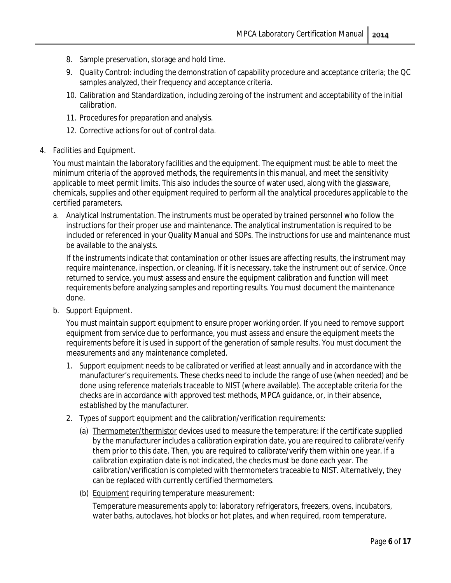- 8. Sample preservation, storage and hold time.
- 9. Quality Control: including the demonstration of capability procedure and acceptance criteria; the QC samples analyzed, their frequency and acceptance criteria.
- 10. Calibration and Standardization, including zeroing of the instrument and acceptability of the initial calibration.
- 11. Procedures for preparation and analysis.
- 12. Corrective actions for out of control data.
- <span id="page-5-0"></span>4. Facilities and Equipment.

You must maintain the laboratory facilities and the equipment. The equipment must be able to meet the minimum criteria of the approved methods, the requirements in this manual, and meet the sensitivity applicable to meet permit limits. This also includes the source of water used, along with the glassware, chemicals, supplies and other equipment required to perform all the analytical procedures applicable to the certified parameters.

a. Analytical Instrumentation. The instruments must be operated by trained personnel who follow the instructions for their proper use and maintenance. The analytical instrumentation is required to be included or referenced in your Quality Manual and SOPs. The instructions for use and maintenance must be available to the analysts.

If the instruments indicate that contamination or other issues are affecting results, the instrument may require maintenance, inspection, or cleaning. If it is necessary, take the instrument out of service. Once returned to service, you must assess and ensure the equipment calibration and function will meet requirements before analyzing samples and reporting results. You must document the maintenance done.

b. Support Equipment.

You must maintain support equipment to ensure proper working order. If you need to remove support equipment from service due to performance, you must assess and ensure the equipment meets the requirements before it is used in support of the generation of sample results. You must document the measurements and any maintenance completed.

- 1. Support equipment needs to be calibrated or verified at least annually and in accordance with the manufacturer's requirements. These checks need to include the range of use (when needed) and be done using reference materials traceable to NIST (where available). The acceptable criteria for the checks are in accordance with approved test methods, MPCA guidance, or, in their absence, established by the manufacturer.
- 2. Types of support equipment and the calibration/verification requirements:
	- (a) Thermometer/thermistor devices used to measure the temperature: if the certificate supplied by the manufacturer includes a calibration expiration date, you are required to calibrate/verify them prior to this date. Then, you are required to calibrate/verify them within one year. If a calibration expiration date is not indicated, the checks must be done each year. The calibration/verification is completed with thermometers traceable to NIST. Alternatively, they can be replaced with currently certified thermometers.
	- (b) Equipment requiring temperature measurement:

Temperature measurements apply to: laboratory refrigerators, freezers, ovens, incubators, water baths, autoclaves, hot blocks or hot plates, and when required, room temperature.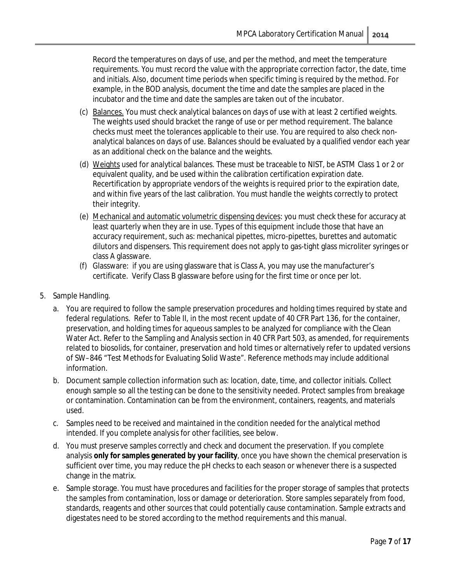Record the temperatures on days of use, and per the method, and meet the temperature requirements. You must record the value with the appropriate correction factor, the date, time and initials. Also, document time periods when specific timing is required by the method. For example, in the BOD analysis, document the time and date the samples are placed in the incubator and the time and date the samples are taken out of the incubator.

- (c) Balances. You must check analytical balances on days of use with at least 2 certified weights. The weights used should bracket the range of use or per method requirement. The balance checks must meet the tolerances applicable to their use. You are required to also check nonanalytical balances on days of use. Balances should be evaluated by a qualified vendor each year as an additional check on the balance and the weights.
- (d) Weights used for analytical balances. These must be traceable to NIST, be ASTM Class 1 or 2 or equivalent quality, and be used within the calibration certification expiration date. Recertification by appropriate vendors of the weights is required prior to the expiration date, and within five years of the last calibration. You must handle the weights correctly to protect their integrity.
- (e) Mechanical and automatic volumetric dispensing devices: you must check these for accuracy at least quarterly when they are in use. Types of this equipment include those that have an accuracy requirement, such as: mechanical pipettes, micro-pipettes, burettes and automatic dilutors and dispensers. This requirement does not apply to gas-tight glass microliter syringes or class A glassware.
- (f) Glassware: if you are using glassware that is Class A, you may use the manufacturer's certificate. Verify Class B glassware before using for the first time or once per lot.
- <span id="page-6-0"></span>5. Sample Handling.
	- a. You are required to follow the sample preservation procedures and holding times required by state and federal regulations. Refer to Table II, in the most recent update of 40 CFR Part 136, for the container, preservation, and holding times for aqueous samples to be analyzed for compliance with the Clean Water Act. Refer to the Sampling and Analysis section in 40 CFR Part 503, as amended, for requirements related to biosolids, for container, preservation and hold times or alternatively refer to updated versions of SW–846 "Test Methods for Evaluating Solid Waste". Reference methods may include additional information.
	- b. Document sample collection information such as: location, date, time, and collector initials. Collect enough sample so all the testing can be done to the sensitivity needed. Protect samples from breakage or contamination. Contamination can be from the environment, containers, reagents, and materials used.
	- c. Samples need to be received and maintained in the condition needed for the analytical method intended. If you complete analysis for other facilities, see below.
	- d. You must preserve samples correctly and check and document the preservation. If you complete analysis **only for samples generated by your facility**, once you have shown the chemical preservation is sufficient over time, you may reduce the pH checks to each season or whenever there is a suspected change in the matrix.
	- e. Sample storage. You must have procedures and facilities for the proper storage of samples that protects the samples from contamination, loss or damage or deterioration. Store samples separately from food, standards, reagents and other sources that could potentially cause contamination. Sample extracts and digestates need to be stored according to the method requirements and this manual.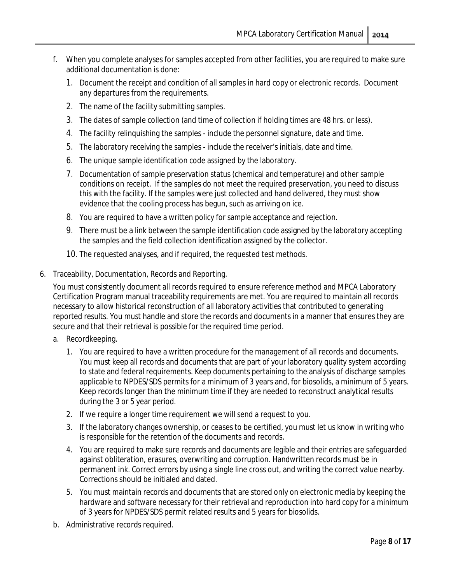- f. When you complete analyses for samples accepted from other facilities, you are required to make sure additional documentation is done:
	- 1. Document the receipt and condition of all samples in hard copy or electronic records. Document any departures from the requirements.
	- 2. The name of the facility submitting samples.
	- 3. The dates of sample collection (and time of collection if holding times are 48 hrs. or less).
	- 4. The facility relinquishing the samples include the personnel signature, date and time.
	- 5. The laboratory receiving the samples include the receiver's initials, date and time.
	- 6. The unique sample identification code assigned by the laboratory.
	- 7. Documentation of sample preservation status (chemical and temperature) and other sample conditions on receipt. If the samples do not meet the required preservation, you need to discuss this with the facility. If the samples were just collected and hand delivered, they must show evidence that the cooling process has begun, such as arriving on ice.
	- 8. You are required to have a written policy for sample acceptance and rejection.
	- 9. There must be a link between the sample identification code assigned by the laboratory accepting the samples and the field collection identification assigned by the collector.
	- 10. The requested analyses, and if required, the requested test methods.
- <span id="page-7-0"></span>6. Traceability, Documentation, Records and Reporting.

You must consistently document all records required to ensure reference method and MPCA Laboratory Certification Program manual traceability requirements are met. You are required to maintain all records necessary to allow historical reconstruction of all laboratory activities that contributed to generating reported results. You must handle and store the records and documents in a manner that ensures they are secure and that their retrieval is possible for the required time period.

- a. Recordkeeping.
	- 1. You are required to have a written procedure for the management of all records and documents. You must keep all records and documents that are part of your laboratory quality system according to state and federal requirements. Keep documents pertaining to the analysis of discharge samples applicable to NPDES/SDS permits for a minimum of 3 years and, for biosolids, a minimum of 5 years. Keep records longer than the minimum time if they are needed to reconstruct analytical results during the 3 or 5 year period.
	- 2. If we require a longer time requirement we will send a request to you.
	- 3. If the laboratory changes ownership, or ceases to be certified, you must let us know in writing who is responsible for the retention of the documents and records.
	- 4. You are required to make sure records and documents are legible and their entries are safeguarded against obliteration, erasures, overwriting and corruption. Handwritten records must be in permanent ink. Correct errors by using a single line cross out, and writing the correct value nearby. Corrections should be initialed and dated.
	- 5. You must maintain records and documents that are stored only on electronic media by keeping the hardware and software necessary for their retrieval and reproduction into hard copy for a minimum of 3 years for NPDES/SDS permit related results and 5 years for biosolids.
- b. Administrative records required.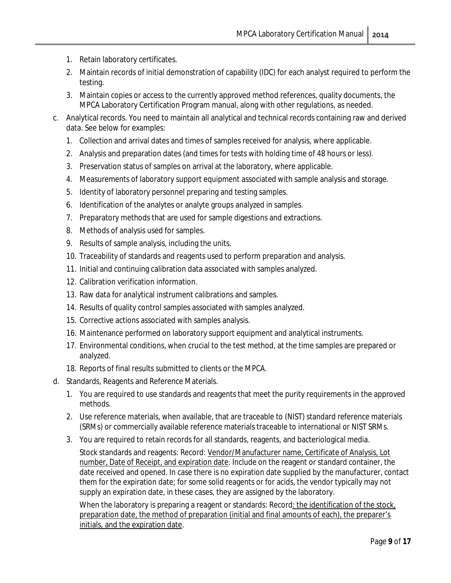- 1. Retain laboratory certificates.
- 2. Maintain records of initial demonstration of capability (IDC) for each analyst required to perform the testing.
- 3. Maintain copies or access to the currently approved method references, quality documents, the MPCA Laboratory Certification Program manual, along with other regulations, as needed.
- c. Analytical records. You need to maintain all analytical and technical records containing raw and derived data. See below for examples:
	- 1. Collection and arrival dates and times of samples received for analysis, where applicable.
	- 2. Analysis and preparation dates (and times for tests with holding time of 48 hours or less).
	- 3. Preservation status of samples on arrival at the laboratory, where applicable.
	- 4. Measurements of laboratory support equipment associated with sample analysis and storage.
	- 5. Identity of laboratory personnel preparing and testing samples.
	- 6. Identification of the analytes or analyte groups analyzed in samples.
	- 7. Preparatory methods that are used for sample digestions and extractions.
	- 8. Methods of analysis used for samples.
	- 9. Results of sample analysis, including the units.
	- 10. Traceability of standards and reagents used to perform preparation and analysis.
	- 11. Initial and continuing calibration data associated with samples analyzed.
	- 12. Calibration verification information.
	- 13. Raw data for analytical instrument calibrations and samples.
	- 14. Results of quality control samples associated with samples analyzed.
	- 15. Corrective actions associated with samples analysis.
	- 16. Maintenance performed on laboratory support equipment and analytical instruments.
	- 17. Environmental conditions, when crucial to the test method, at the time samples are prepared or analyzed.
	- 18. Reports of final results submitted to clients or the MPCA.
- d. Standards, Reagents and Reference Materials.
	- 1. You are required to use standards and reagents that meet the purity requirements in the approved methods.
	- 2. Use reference materials, when available, that are traceable to (NIST) standard reference materials (SRMs) or commercially available reference materials traceable to international or NIST SRMs.
	- 3. You are required to retain records for all standards, reagents, and bacteriological media.

Stock standards and reagents: Record: Vendor/Manufacturer name, Certificate of Analysis, Lot number, Date of Receipt, and expiration date. Include on the reagent or standard container, the date received and opened. In case there is no expiration date supplied by the manufacturer, contact them for the expiration date; for some solid reagents or for acids, the vendor typically may not supply an expiration date, in these cases, they are assigned by the laboratory.

When the laboratory is preparing a reagent or standards: Record: the identification of the stock, preparation date, the method of preparation (initial and final amounts of each), the preparer's initials, and the expiration date.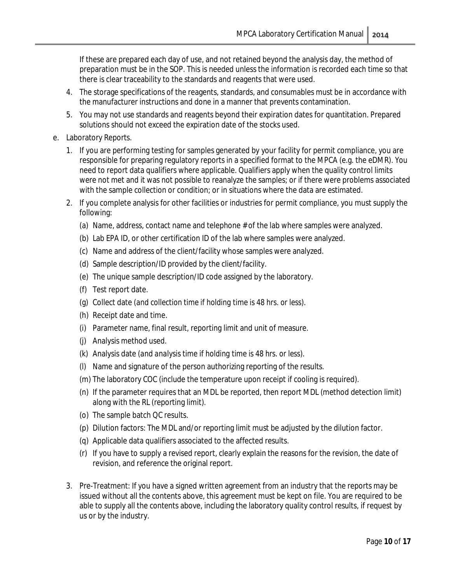If these are prepared each day of use, and not retained beyond the analysis day, the method of preparation must be in the SOP. This is needed unless the information is recorded each time so that there is clear traceability to the standards and reagents that were used.

- 4. The storage specifications of the reagents, standards, and consumables must be in accordance with the manufacturer instructions and done in a manner that prevents contamination.
- 5. You may not use standards and reagents beyond their expiration dates for quantitation. Prepared solutions should not exceed the expiration date of the stocks used.
- e. Laboratory Reports.
	- 1. If you are performing testing for samples generated by your facility for permit compliance, you are responsible for preparing regulatory reports in a specified format to the MPCA (e.g. the eDMR). You need to report data qualifiers where applicable. Qualifiers apply when the quality control limits were not met and it was not possible to reanalyze the samples; or if there were problems associated with the sample collection or condition; or in situations where the data are estimated.
	- 2. If you complete analysis for other facilities or industries for permit compliance, you must supply the following:
		- (a) Name, address, contact name and telephone # of the lab where samples were analyzed.
		- (b) Lab EPA ID, or other certification ID of the lab where samples were analyzed.
		- (c) Name and address of the client/facility whose samples were analyzed.
		- (d) Sample description/ID provided by the client/facility.
		- (e) The unique sample description/ID code assigned by the laboratory.
		- (f) Test report date.
		- (g) Collect date *(and collection time if holding time is 48 hrs. or less).*
		- (h) Receipt date and time.
		- (i) Parameter name, final result, reporting limit and unit of measure.
		- (j) Analysis method used.
		- (k) Analysis date *(and analysis time if holding time is 48 hrs. or less).*
		- (l) Name and signature of the person authorizing reporting of the results.
		- (m) The laboratory COC (include the temperature upon receipt if cooling is required).
		- (n) If the parameter requires that an MDL be reported, then report MDL (method detection limit) along with the RL (reporting limit).
		- (o) The sample batch QC results.
		- (p) Dilution factors: The MDL and/or reporting limit must be adjusted by the dilution factor.
		- (q) Applicable data qualifiers associated to the affected results.
		- (r) If you have to supply a revised report, clearly explain the reasons for the revision, the date of revision, and reference the original report.
	- 3. Pre-Treatment: If you have a signed written agreement from an industry that the reports may be issued without all the contents above, this agreement must be kept on file. You are required to be able to supply all the contents above, including the laboratory quality control results, if request by us or by the industry.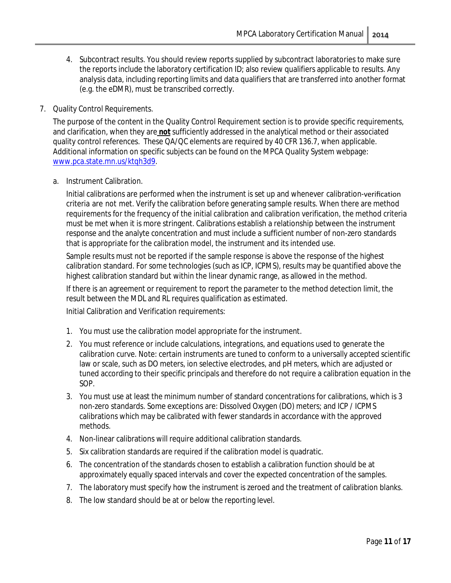- 4. Subcontract results. You should review reports supplied by subcontract laboratories to make sure the reports include the laboratory certification ID; also review qualifiers applicable to results. Any analysis data, including reporting limits and data qualifiers that are transferred into another format (e.g. the eDMR), must be transcribed correctly.
- <span id="page-10-0"></span>7. Quality Control Requirements.

The purpose of the content in the Quality Control Requirement section is to provide specific requirements, and clarification, when they are **not** sufficiently addressed in the analytical method or their associated quality control references. These QA/QC elements are required by 40 CFR 136.7, when applicable. Additional information on specific subjects can be found on the MPCA Quality System webpage: [www.pca.state.mn.us/ktqh3d9.](http://www.pca.state.mn.us/ktqh3d9)

<span id="page-10-1"></span>a. Instrument Calibration.

Initial calibrations are performed when the instrument is set up and whenever calibration-verification criteria are not met. Verify the calibration before generating sample results. When there are method requirements for the frequency of the initial calibration and calibration verification, the method criteria must be met when it is more stringent. Calibrations establish a relationship between the instrument response and the analyte concentration and must include a sufficient number of non-zero standards that is appropriate for the calibration model, the instrument and its intended use.

Sample results must not be reported if the sample response is above the response of the highest calibration standard. For some technologies (such as ICP, ICPMS), results may be quantified above the highest calibration standard but within the linear dynamic range, as allowed in the method.

If there is an agreement or requirement to report the parameter to the method detection limit, the result between the MDL and RL requires qualification as estimated.

Initial Calibration and Verification requirements:

- 1. You must use the calibration model appropriate for the instrument.
- 2. You must reference or include calculations, integrations, and equations used to generate the calibration curve. Note: certain instruments are tuned to conform to a universally accepted scientific law or scale, such as DO meters, ion selective electrodes, and pH meters, which are adjusted or tuned according to their specific principals and therefore do not require a calibration equation in the SOP.
- 3. You must use at least the minimum number of standard concentrations for calibrations, which is 3 non-zero standards. Some exceptions are: Dissolved Oxygen (DO) meters; and ICP / ICPMS calibrations which may be calibrated with fewer standards in accordance with the approved methods.
- 4. Non-linear calibrations will require additional calibration standards.
- 5. Six calibration standards are required if the calibration model is quadratic.
- 6. The concentration of the standards chosen to establish a calibration function should be at approximately equally spaced intervals and cover the expected concentration of the samples.
- 7. The laboratory must specify how the instrument is zeroed and the treatment of calibration blanks.
- 8. The low standard should be at or below the reporting level.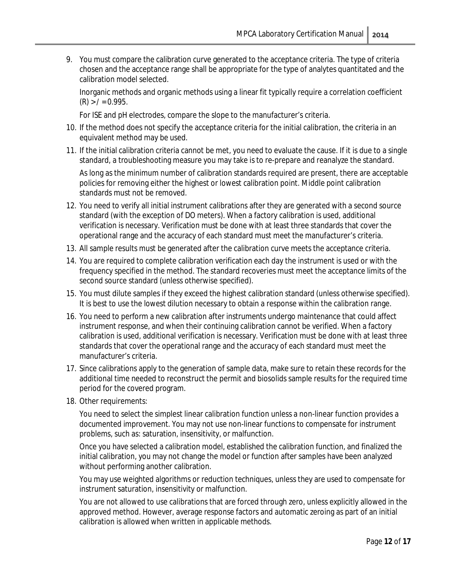9. You must compare the calibration curve generated to the acceptance criteria. The type of criteria chosen and the acceptance range shall be appropriate for the type of analytes quantitated and the calibration model selected.

Inorganic methods and organic methods using a linear fit typically require a correlation coefficient  $(R)$  >  $/ = 0.995$ .

For ISE and pH electrodes, compare the slope to the manufacturer's criteria.

- 10. If the method does not specify the acceptance criteria for the initial calibration, the criteria in an equivalent method may be used.
- 11. If the initial calibration criteria cannot be met, you need to evaluate the cause. If it is due to a single standard, a troubleshooting measure you may take is to re-prepare and reanalyze the standard.

As long as the minimum number of calibration standards required are present, there are acceptable policies for removing either the highest or lowest calibration point. Middle point calibration standards must not be removed.

- 12. You need to verify all initial instrument calibrations after they are generated with a second source standard (with the exception of DO meters). When a factory calibration is used, additional verification is necessary. Verification must be done with at least three standards that cover the operational range and the accuracy of each standard must meet the manufacturer's criteria.
- 13. All sample results must be generated after the calibration curve meets the acceptance criteria.
- 14. You are required to complete calibration verification each day the instrument is used or with the frequency specified in the method. The standard recoveries must meet the acceptance limits of the second source standard (unless otherwise specified).
- 15. You must dilute samples if they exceed the highest calibration standard (unless otherwise specified). It is best to use the lowest dilution necessary to obtain a response within the calibration range.
- 16. You need to perform a new calibration after instruments undergo maintenance that could affect instrument response, and when their continuing calibration cannot be verified. When a factory calibration is used, additional verification is necessary. Verification must be done with at least three standards that cover the operational range and the accuracy of each standard must meet the manufacturer's criteria.
- 17. Since calibrations apply to the generation of sample data, make sure to retain these records for the additional time needed to reconstruct the permit and biosolids sample results for the required time period for the covered program.
- 18. Other requirements:

You need to select the simplest linear calibration function unless a non-linear function provides a documented improvement. You may not use non-linear functions to compensate for instrument problems, such as: saturation, insensitivity, or malfunction.

Once you have selected a calibration model, established the calibration function, and finalized the initial calibration, you may not change the model or function after samples have been analyzed without performing another calibration.

You may use weighted algorithms or reduction techniques, unless they are used to compensate for instrument saturation, insensitivity or malfunction.

You are not allowed to use calibrations that are forced through zero, unless explicitly allowed in the approved method. However, average response factors and automatic zeroing as part of an initial calibration is allowed when written in applicable methods.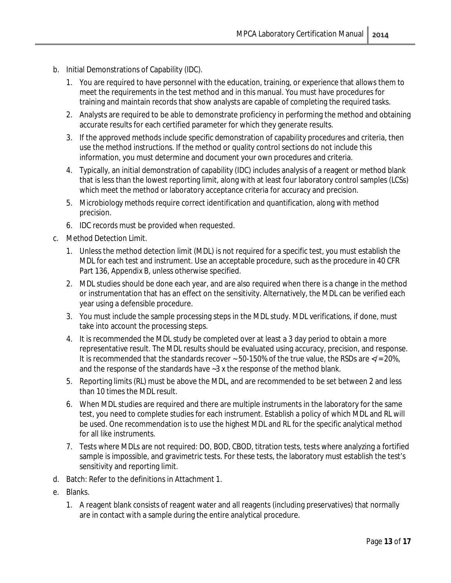- <span id="page-12-0"></span>b. Initial Demonstrations of Capability (IDC).
	- 1. You are required to have personnel with the education, training, or experience that allows them to meet the requirements in the test method and in this manual. You must have procedures for training and maintain records that show analysts are capable of completing the required tasks.
	- 2. Analysts are required to be able to demonstrate proficiency in performing the method and obtaining accurate results for each certified parameter for which they generate results.
	- 3. If the approved methods include specific demonstration of capability procedures and criteria, then use the method instructions. If the method or quality control sections do not include this information, you must determine and document your own procedures and criteria.
	- 4. Typically, an initial demonstration of capability (IDC) includes analysis of a reagent or method blank that is less than the lowest reporting limit, along with at least four laboratory control samples (LCSs) which meet the method or laboratory acceptance criteria for accuracy and precision.
	- 5. Microbiology methods require correct identification and quantification, along with method precision.
	- 6. IDC records must be provided when requested.
- <span id="page-12-1"></span>c. Method Detection Limit.
	- 1. Unless the method detection limit (MDL) is not required for a specific test, you must establish the MDL for each test and instrument. Use an acceptable procedure, such as the procedure in 40 CFR Part 136, Appendix B, unless otherwise specified.
	- 2. MDL studies should be done each year, and are also required when there is a change in the method or instrumentation that has an effect on the sensitivity. Alternatively, the MDL can be verified each year using a defensible procedure.
	- 3. You must include the sample processing steps in the MDL study. MDL verifications, if done, must take into account the processing steps.
	- 4. It is recommended the MDL study be completed over at least a 3 day period to obtain a more representative result. The MDL results should be evaluated using accuracy, precision, and response. It is recommended that the standards recover  $\sim$  50-150% of the true value, the RSDs are </= 20%, and the response of the standards have ~3 x the response of the method blank.
	- 5. Reporting limits (RL) must be above the MDL, and are recommended to be set between 2 and less than 10 times the MDL result.
	- 6. When MDL studies are required and there are multiple instruments in the laboratory for the same test, you need to complete studies for each instrument. Establish a policy of which MDL and RL will be used. One recommendation is to use the highest MDL and RL for the specific analytical method for all like instruments.
	- 7. Tests where MDLs are not required: DO, BOD, CBOD, titration tests, tests where analyzing a fortified sample is impossible, and gravimetric tests. For these tests, the laboratory must establish the test's sensitivity and reporting limit.
- <span id="page-12-2"></span>d. Batch: Refer to the definitions in Attachment 1.
- <span id="page-12-3"></span>e. Blanks.
	- 1. A reagent blank consists of reagent water and all reagents (including preservatives) that normally are in contact with a sample during the entire analytical procedure.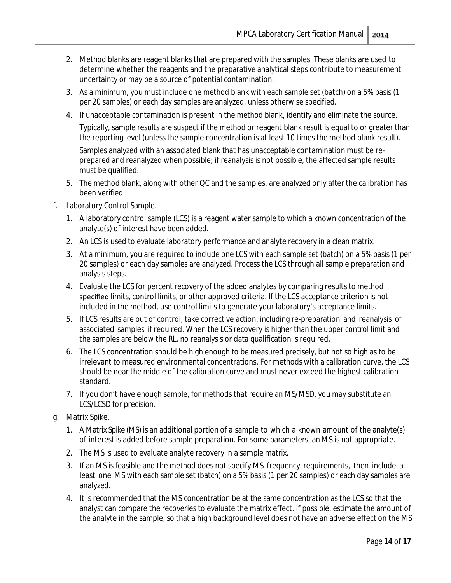- 2. Method blanks are reagent blanks that are prepared with the samples. These blanks are used to determine whether the reagents and the preparative analytical steps contribute to measurement uncertainty or may be a source of potential contamination.
- 3. As a minimum, you must include one method blank with each sample set (batch) on a 5% basis (1 per 20 samples) or each day samples are analyzed, unless otherwise specified.
- 4. If unacceptable contamination is present in the method blank, identify and eliminate the source.

Typically, sample results are suspect if the method or reagent blank result is equal to or greater than the reporting level (unless the sample concentration is at least 10 times the method blank result).

Samples analyzed with an associated blank that has unacceptable contamination must be reprepared and reanalyzed when possible; if reanalysis is not possible, the affected sample results must be qualified.

- 5. The method blank, along with other QC and the samples, are analyzed only after the calibration has been verified.
- <span id="page-13-0"></span>f. Laboratory Control Sample.
	- 1. A laboratory control sample (LCS) is a reagent water sample to which a known concentration of the analyte(s) of interest have been added.
	- 2. An LCS is used to evaluate laboratory performance and analyte recovery in a clean matrix.
	- 3. At a minimum, you are required to include one LCS with each sample set (batch) on a 5% basis (1 per 20 samples) or each day samples are analyzed. Process the LCS through all sample preparation and analysis steps.
	- 4. Evaluate the LCS for percent recovery of the added analytes by comparing results to method specified limits, control limits, or other approved criteria. If the LCS acceptance criterion is not included in the method, use control limits to generate your laboratory's acceptance limits.
	- 5. If LCS results are out of control, take corrective action, including re-preparation and reanalysis of associated samples if required. When the LCS recovery is higher than the upper control limit and the samples are below the RL, no reanalysis or data qualification is required.
	- 6. The LCS concentration should be high enough to be measured precisely, but not so high as to be irrelevant to measured environmental concentrations. For methods with a calibration curve, the LCS should be near the middle of the calibration curve and must never exceed the highest calibration standard.
	- 7. If you don't have enough sample, for methods that require an MS/MSD, you may substitute an LCS/LCSD for precision.
- <span id="page-13-1"></span>g. Matrix Spike.
	- 1. A Matrix Spike (MS) is an additional portion of a sample to which a known amount of the analyte(s) of interest is added before sample preparation. For some parameters, an MS is not appropriate.
	- 2. The MS is used to evaluate analyte recovery in a sample matrix.
	- 3. If an MS is feasible and the method does not specify MS frequency requirements, then include at least one MS with each sample set (batch) on a 5% basis (1 per 20 samples) or each day samples are analyzed.
	- 4. It is recommended that the MS concentration be at the same concentration as the LCS so that the analyst can compare the recoveries to evaluate the matrix effect. If possible, estimate the amount of the analyte in the sample, so that a high background level does not have an adverse effect on the MS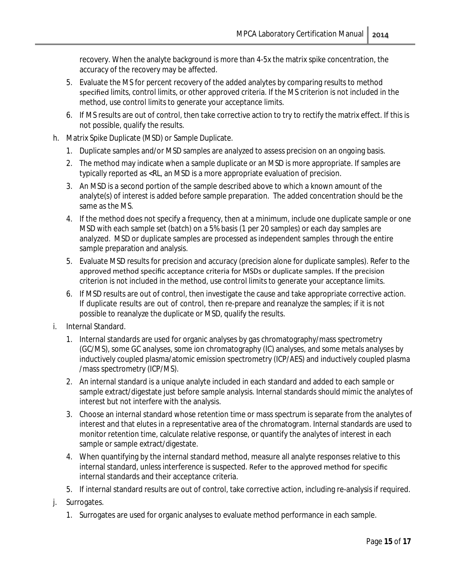recovery. When the analyte background is more than 4-5x the matrix spike concentration, the accuracy of the recovery may be affected.

- 5. Evaluate the MS for percent recovery of the added analytes by comparing results to method specified limits, control limits, or other approved criteria. If the MS criterion is not included in the method, use control limits to generate your acceptance limits.
- 6. If MS results are out of control, then take corrective action to try to rectify the matrix effect. If this is not possible, qualify the results.
- <span id="page-14-0"></span>h. Matrix Spike Duplicate (MSD) or Sample Duplicate.
	- 1. Duplicate samples and/or MSD samples are analyzed to assess precision on an ongoing basis.
	- 2. The method may indicate when a sample duplicate or an MSD is more appropriate. If samples are typically reported as <RL, an MSD is a more appropriate evaluation of precision.
	- 3. An MSD is a second portion of the sample described above to which a known amount of the analyte(s) of interest is added before sample preparation. The added concentration should be the same as the MS.
	- 4. If the method does not specify a frequency, then at a minimum, include one duplicate sample or one MSD with each sample set (batch) on a 5% basis (1 per 20 samples) or each day samples are analyzed. MSD or duplicate samples are processed as independent samples through the entire sample preparation and analysis.
	- 5. Evaluate MSD results for precision and accuracy (precision alone for duplicate samples). Refer to the approved method specific acceptance criteria for MSDs or duplicate samples. If the precision criterion is not included in the method, use control limits to generate your acceptance limits.
	- 6. If MSD results are out of control, then investigate the cause and take appropriate corrective action. If duplicate results are out of control, then re-prepare and reanalyze the samples; if it is not possible to reanalyze the duplicate or MSD, qualify the results.
- <span id="page-14-1"></span>i. Internal Standard.
	- 1. Internal standards are used for organic analyses by gas chromatography/mass spectrometry (GC/MS), some GC analyses, some ion chromatography (IC) analyses, and some metals analyses by inductively coupled plasma/atomic emission spectrometry (ICP/AES) and inductively coupled plasma /mass spectrometry (ICP/MS).
	- 2. An internal standard is a unique analyte included in each standard and added to each sample or sample extract/digestate just before sample analysis. Internal standards should mimic the analytes of interest but not interfere with the analysis.
	- 3. Choose an internal standard whose retention time or mass spectrum is separate from the analytes of interest and that elutes in a representative area of the chromatogram. Internal standards are used to monitor retention time, calculate relative response, or quantify the analytes of interest in each sample or sample extract/digestate.
	- 4. When quantifying by the internal standard method, measure all analyte responses relative to this internal standard, unless interference is suspected. Refer to the approved method for specific internal standards and their acceptance criteria.
	- 5. If internal standard results are out of control, take corrective action, including re-analysis if required.
- <span id="page-14-2"></span>j. Surrogates.
	- 1. Surrogates are used for organic analyses to evaluate method performance in each sample.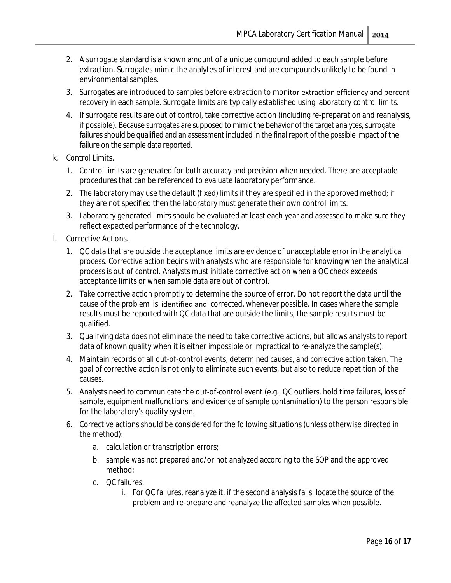- 2. A surrogate standard is a known amount of a unique compound added to each sample before extraction. Surrogates mimic the analytes of interest and are compounds unlikely to be found in environmental samples.
- 3. Surrogates are introduced to samples before extraction to monitor extraction efficiency and percent recovery in each sample. Surrogate limits are typically established using laboratory control limits.
- 4. If surrogate results are out of control, take corrective action (including re-preparation and reanalysis, if possible). Because surrogates are supposed to mimic the behavior of the target analytes, surrogate failures should be qualified and an assessment included in the final report of the possible impact of the failure on the sample data reported.
- <span id="page-15-0"></span>k. Control Limits.
	- 1. Control limits are generated for both accuracy and precision when needed. There are acceptable procedures that can be referenced to evaluate laboratory performance.
	- 2. The laboratory may use the default (fixed) limits if they are specified in the approved method; if they are not specified then the laboratory must generate their own control limits.
	- 3. Laboratory generated limits should be evaluated at least each year and assessed to make sure they reflect expected performance of the technology.
- <span id="page-15-1"></span>l. Corrective Actions.
	- 1. QC data that are outside the acceptance limits are evidence of unacceptable error in the analytical process. Corrective action begins with analysts who are responsible for knowing when the analytical process is out of control. Analysts must initiate corrective action when a QC check exceeds acceptance limits or when sample data are out of control.
	- 2. Take corrective action promptly to determine the source of error. Do not report the data until the cause of the problem is identified and corrected, whenever possible. In cases where the sample results must be reported with QC data that are outside the limits, the sample results must be qualified.
	- 3. Qualifying data does not eliminate the need to take corrective actions, but allows analysts to report data of known quality when it is either impossible or impractical to re-analyze the sample(s).
	- 4. Maintain records of all out-of-control events, determined causes, and corrective action taken. The goal of corrective action is not only to eliminate such events, but also to reduce repetition of the causes.
	- 5. Analysts need to communicate the out-of-control event (e.g., QC outliers, hold time failures, loss of sample, equipment malfunctions, and evidence of sample contamination) to the person responsible for the laboratory's quality system.
	- 6. Corrective actions should be considered for the following situations (unless otherwise directed in the method):
		- a. calculation or transcription errors;
		- b. sample was not prepared and/or not analyzed according to the SOP and the approved method;
		- c. QC failures.
			- i. For QC failures, reanalyze it, if the second analysis fails, locate the source of the problem and re-prepare and reanalyze the affected samples when possible.